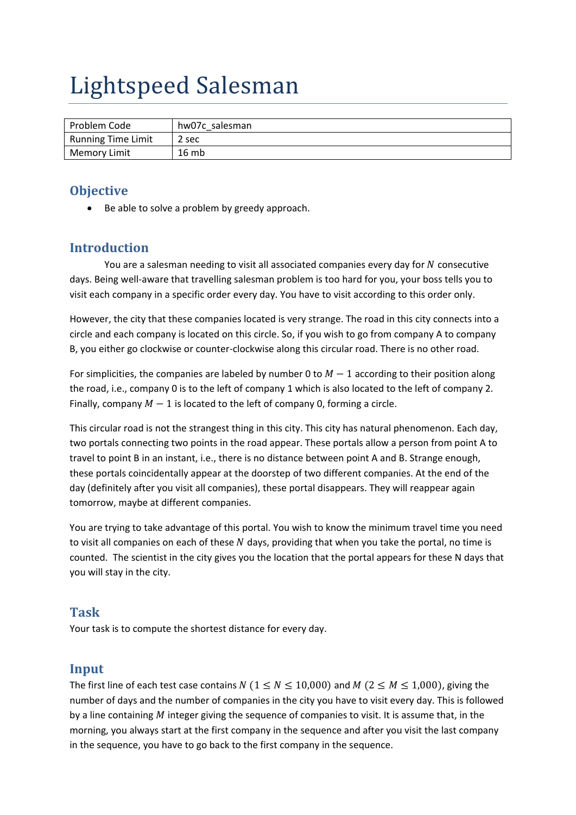# Lightspeed Salesman

| Problem Code        | hw07c salesman |
|---------------------|----------------|
| Running Time Limit  | 2 sec          |
| <b>Memory Limit</b> | 16 mb          |

### **Objective**

Be able to solve a problem by greedy approach.

### **Introduction**

You are a salesman needing to visit all associated companies every day for  $N$  consecutive days. Being well-aware that travelling salesman problem is too hard for you, your boss tells you to visit each company in a specific order every day. You have to visit according to this order only.

However, the city that these companies located is very strange. The road in this city connects into a circle and each company is located on this circle. So, if you wish to go from company A to company B, you either go clockwise or counter‐clockwise along this circular road. There is no other road.

For simplicities, the companies are labeled by number 0 to  $M-1$  according to their position along the road, i.e., company 0 is to the left of company 1 which is also located to the left of company 2. Finally, company  $M-1$  is located to the left of company 0, forming a circle.

This circular road is not the strangest thing in this city. This city has natural phenomenon. Each day, two portals connecting two points in the road appear. These portals allow a person from point A to travel to point B in an instant, i.e., there is no distance between point A and B. Strange enough, these portals coincidentally appear at the doorstep of two different companies. At the end of the day (definitely after you visit all companies), these portal disappears. They will reappear again tomorrow, maybe at different companies.

You are trying to take advantage of this portal. You wish to know the minimum travel time you need to visit all companies on each of these  $N$  days, providing that when you take the portal, no time is counted. The scientist in the city gives you the location that the portal appears for these N days that you will stay in the city.

#### **Task**

Your task is to compute the shortest distance for every day.

#### **Input**

The first line of each test case contains N ( $1 \le N \le 10,000$ ) and M ( $2 \le M \le 1,000$ ), giving the number of days and the number of companies in the city you have to visit every day. This is followed by a line containing  $M$  integer giving the sequence of companies to visit. It is assume that, in the morning, you always start at the first company in the sequence and after you visit the last company in the sequence, you have to go back to the first company in the sequence.